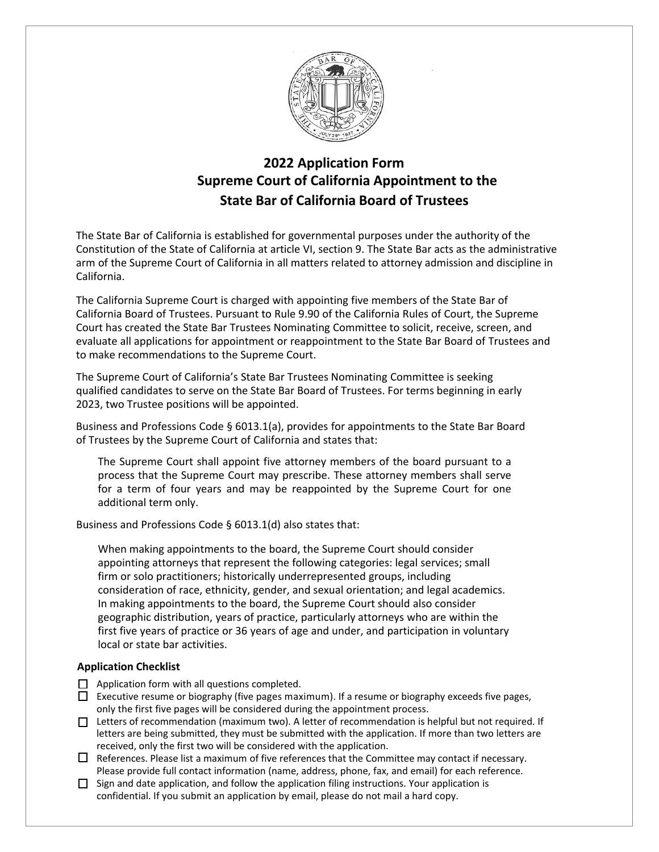

# **2022 Application Form Supreme Court of California Appointment to the State B ar of California Board of Trustees**

The State Bar of California is established for governmental purposes under the authority of the Constitution of the State of California at article VI, section 9. The State Bar acts as the administrative arm of the Supreme Court of California in all matters related to attorney admission and discipline in California.

The California Supreme Court is charged with appointing five members of the State Bar of California Board of Trustees. Pursuant to Rule 9.90 of the California Rules of Court, the Supreme Court has created the State Bar Trustees Nominating Committee to solicit, receive, screen, and evaluate all applications for appointment or reappointment to the State Bar Board of Trustees and to make recommendations to the Supreme Court.

The Supreme Court of California's State Bar Trustees Nominating Committee is seeking qualified candidates to serve on the State Bar Board of Trustees. For terms beginning in early 2023, two Trustee positions will be appointed.

Business and Professions Code § 6013.1(a), provides for appointments to the State Bar Board of Trustees by the Supreme Court of California and states that:

The Supreme Court shall appoint five attorney members of the board pursuant to a process that the Supreme Court may prescribe. These attorney members shall serve for a term of four years and may be reappointed by the Supreme Court for one additional term only.

Business and Professions Code § 6013.1(d) also states that:

When making appointments to the board, the Supreme Court should consider appointing attorneys that represent the following categories: legal services; small firm or solo practitioners; historically underrepresented groups, including consideration of race, ethnicity, gender, and sexual orientation; and legal academics. In making appointments to the board, the Supreme Court should also consider geographic distribution, years of practice, particularly attorneys who are within the first five years of practice or 36 years of age and under, and participation in voluntary local or state bar activities.

#### **Application Checklist**

- $\Box$  Application form with all questions completed.
- Executive resume or biography (five pages maximum). If a resume or biography exceeds five pages, only the first five pages will be considered during the appointment process.
- Letters of recommendation (maximum two). A letter of recommendation is helpful but not required. If letters are being submitted, they must be submitted with the application. If more than two letters are received, only the first two will be considered with the application.
- $\Box$  References. Please list a maximum of five references that the Committee may contact if necessary. Please provide full contact information (name, address, phone, fax, and email) for each reference.
- $\Box$  Sign and date application, and follow the application filing instructions. Your application is confidential. If you submit an application by email, please do not mail a hard copy.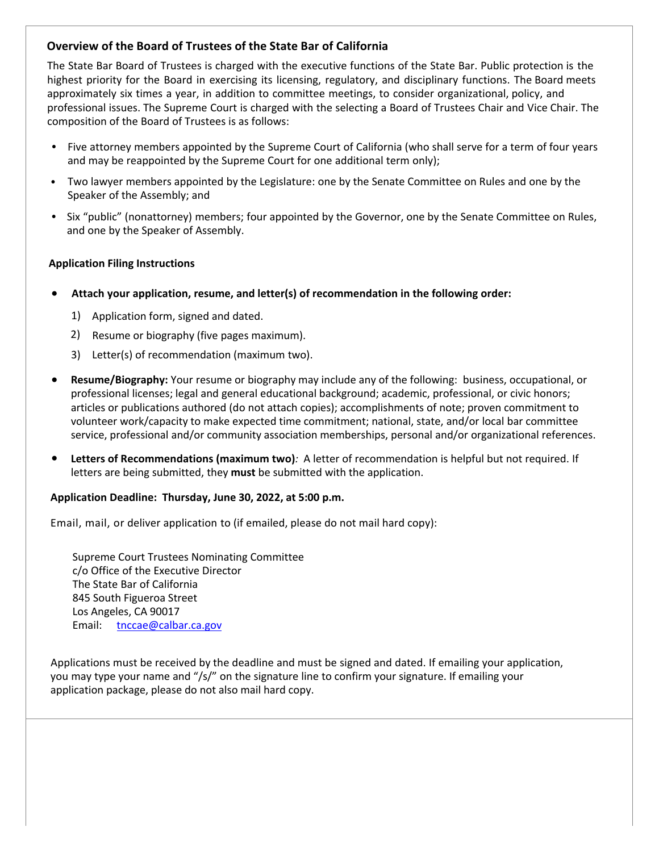#### **Overview of the Board of Trustees of the State Bar of California**

The State Bar Board of Trustees is charged with the executive functions of the State Bar. Public protection is the highest priority for the Board in exercising its licensing, regulatory, and disciplinary functions. The Board meets approximately six times a year, in addition to committee meetings, to consider organizational, policy, and professional issues. The Supreme Court is charged with the selecting a Board of Trustees Chair and Vice Chair. The composition of the Board of Trustees is as follows:

- Five attorney members appointed by the Supreme Court of California (who shall serve for a term of four years and may be reappointed by the Supreme Court for one additional term only); •
- Two lawyer members appointed by the Legislature: one by the Senate Committee on Rules and one by the Speaker of the Assembly; and •
- Six "public" (nonattorney) members; four appointed by the Governor, one by the Senate Committee on Rules, and one by the Speaker of Assembly.

#### **Application Filing Instructions**

- **Attach your application, resume, and letter(s) of recommendation in the following order:**
	- 1) Application form, signed and dated.
	- 2) Resume or biography (five pages maximum).
	- 3) Letter(s) of recommendation (maximum two).
- **Resume/Biography:** Your resume or biography may include any of the following: business, occupational, or professional licenses; legal and general educational background; academic, professional, or civic honors; articles or publications authored (do not attach copies); accomplishments of note; proven commitment to volunteer work/capacity to make expected time commitment; national, state, and/or local bar committee service, professional and/or community association memberships, personal and/or organizational references.
- **Letters of Recommendations (maximum two)***:* A letter of recommendation is helpful but not required. If letters are being submitted, they **must** be submitted with the application.

#### **Application Deadline: Thursday, June 30, 2022, at 5:00 p.m.**

Email, mail, or deliver application to (if emailed, please do not mail hard copy):

Supreme Court Trustees Nominating Committee c/o Office of the Executive Director The State Bar of California 845 South Figueroa Street Los Angeles, CA 90017 Email: tnccae@calbar.ca.gov

Applications must be [received](mailto:tnccae@calbar.ca.gov) by the deadline and must be signed and dated. If emailing your application, you may type your name and "/s/" on the signature line to confirm your signature. If emailing your application package, please do not also mail hard copy.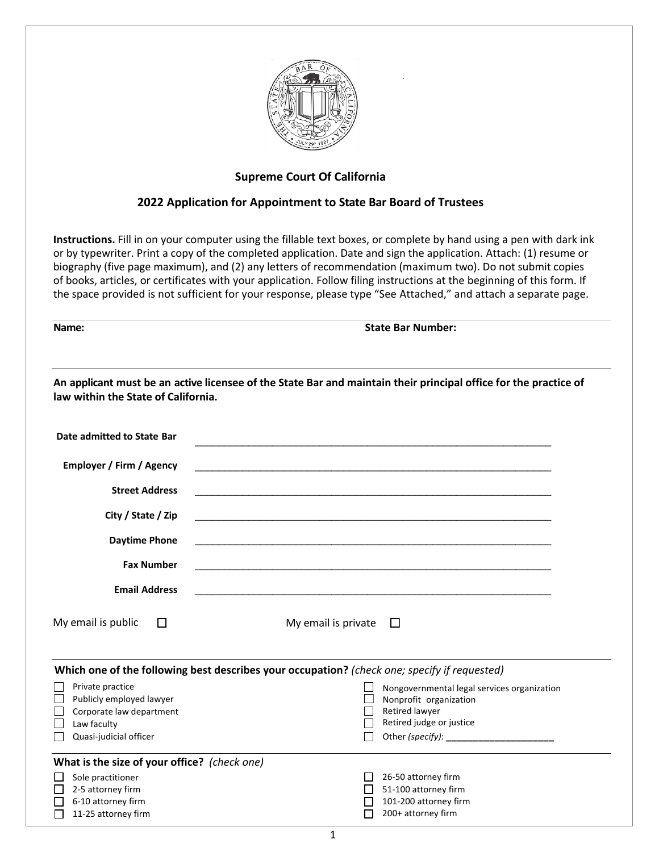

#### **Supreme Court Of California**

#### **2022 Application for Appointment to State Bar Board of Trustees**

**Instructions.** Fill in on your computer using the fillable text boxes, or complete by hand using a pen with dark ink or by typewriter. Print a copy of the completed application. Date and sign the application. Attach: (1) resume or biography (five page maximum), and (2) any letters of recommendation (maximum two). Do not submit copies of books, articles, or certificates with your application. Follow filing instructions at the beginning of this form. If the space provided is not sufficient for your response, please type "See Attached," and attach a separate page.

**Name: State Bar Number:** 

| An applicant must be an active licensee of the State Bar and maintain their principal office for the practice of<br>law within the State of California. |                                                                                                                                                                  |
|---------------------------------------------------------------------------------------------------------------------------------------------------------|------------------------------------------------------------------------------------------------------------------------------------------------------------------|
| Date admitted to State Bar                                                                                                                              |                                                                                                                                                                  |
| <b>Employer / Firm / Agency</b><br><b>Street Address</b><br>City / State / Zip<br><b>Daytime Phone</b><br><b>Fax Number</b>                             |                                                                                                                                                                  |
| <b>Email Address</b>                                                                                                                                    |                                                                                                                                                                  |
| My email is public<br>□                                                                                                                                 | My email is private<br>$\Box$                                                                                                                                    |
| Which one of the following best describes your occupation? (check one; specify if requested)                                                            |                                                                                                                                                                  |
| Private practice<br>Publicly employed lawyer<br>Corporate law department<br>Law faculty<br>Quasi-judicial officer                                       | Nongovernmental legal services organization<br>Nonprofit organization<br>Retired lawyer<br>Retired judge or justice<br>Other (specify): ________________________ |
| What is the size of your office? (check one)                                                                                                            |                                                                                                                                                                  |
| Sole practitioner<br>2-5 attorney firm<br>6-10 attorney firm<br>11-25 attorney firm                                                                     | 26-50 attorney firm<br>51-100 attorney firm<br>ΙI<br>101-200 attorney firm<br>200+ attorney firm                                                                 |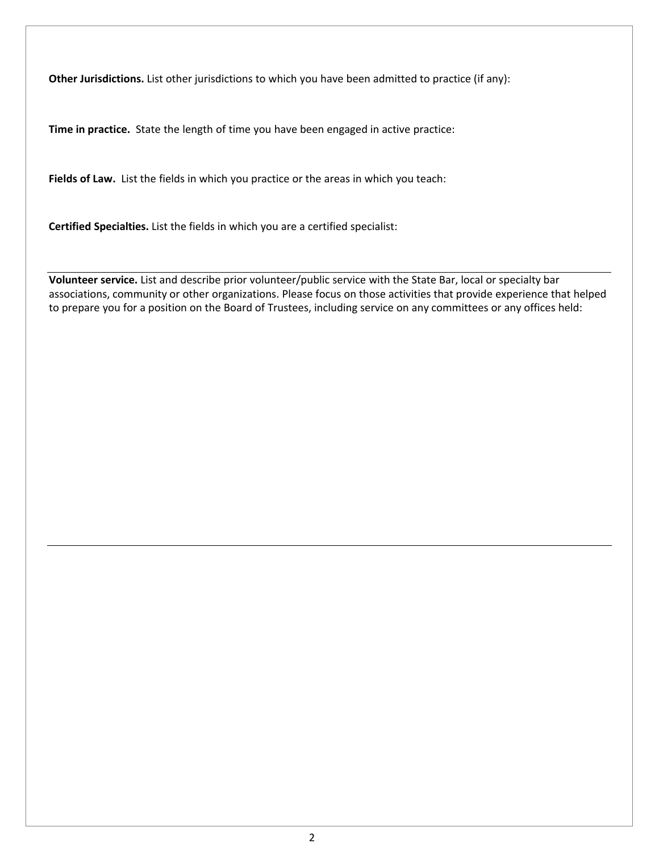**Other Jurisdictions.** List other jurisdictions to which you have been admitted to practice (if any):

**Time in practice.** State the length of time you have been engaged in active practice:

**Fields of Law.** List the fields in which you practice or the areas in which you teach:

**Certified Specialties.** List the fields in which you are a certified specialist:

**Volunteer service.** List and describe prior volunteer/public service with the State Bar, local or specialty bar associations, community or other organizations. Please focus on those activities that provide experience that helped to prepare you for a position on the Board of Trustees, including service on any committees or any offices held: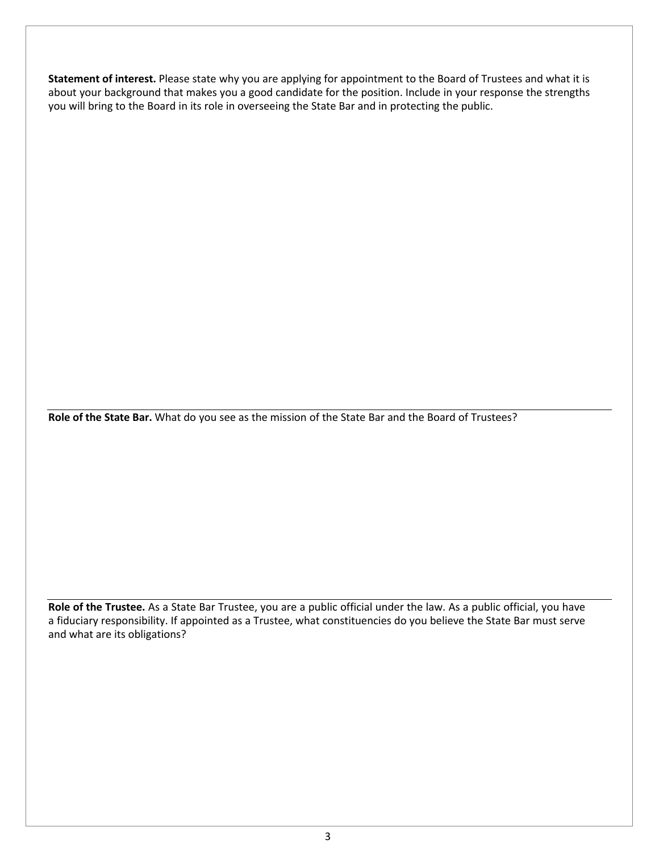**Statement of interest.** Please state why you are applying for appointment to the Board of Trustees and what it is about your background that makes you a good candidate for the position. Include in your response the strengths you will bring to the Board in its role in overseeing the State Bar and in protecting the public.

**Role of the State Bar.** What do you see as the mission of the State Bar and the Board of Trustees?

**Role of the Trustee.** As a State Bar Trustee, you are a public official under the law. As a public official, you have a fiduciary responsibility. If appointed as a Trustee, what constituencies do you believe the State Bar must serve and what are its obligations?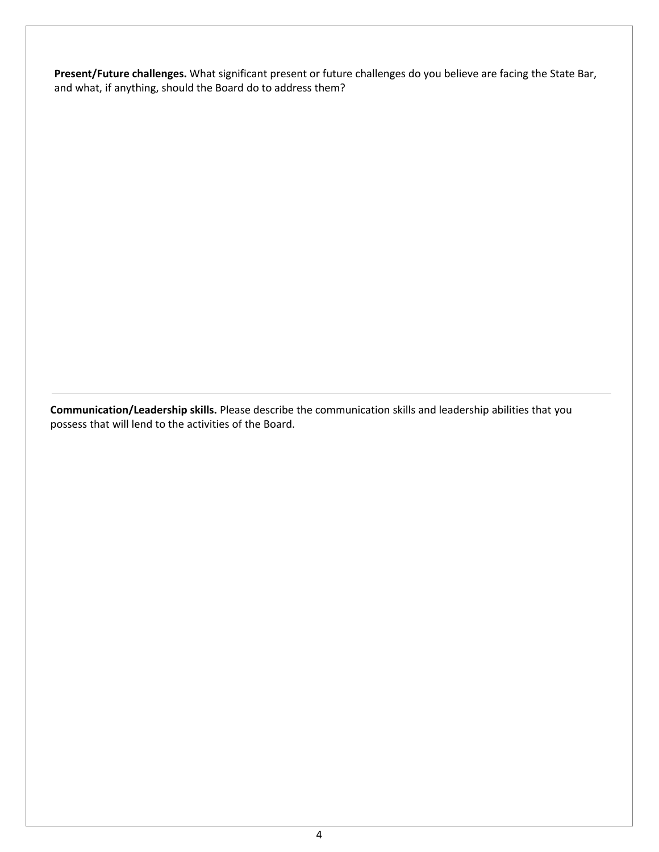**Present/Future challenges.** What significant present or future challenges do you believe are facing the State Bar, and what, if anything, should the Board do to address them?

**Communication/Leadership skills.** Please describe the communication skills and leadership abilities that you possess that will lend to the activities of the Board.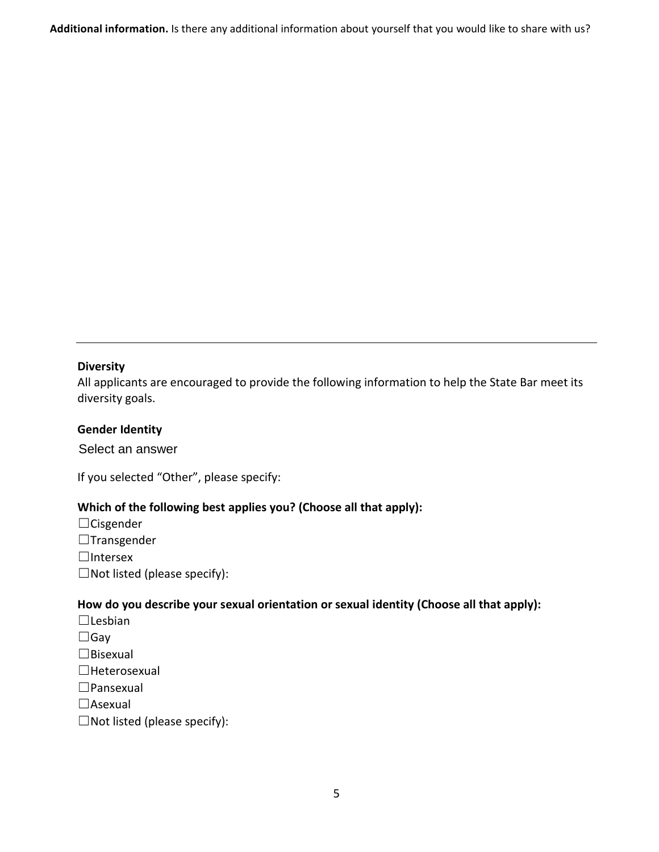**Additional information.** Is there any additional information about yourself that you would like to share with us?

## **Diversity**

All applicants are encouraged to provide the following information to help the State Bar meet its diversity goals.

## **Gender Identity**

Select an answer Select an answer

If you selected "Other", please specify:

## **Which of the following best applies you? (Choose all that apply):**

- ☐Cisgender
- ☐Transgender

☐Intersex

 $\Box$ Not listed (please specify):

#### **How do you describe your sexual orientation or sexual identity (Choose all that apply):**

☐Lesbian

 $\Box$ Gay

- ☐Bisexual
- ☐Heterosexual
- ☐Pansexual

□Asexual

 $\Box$ Not listed (please specify):